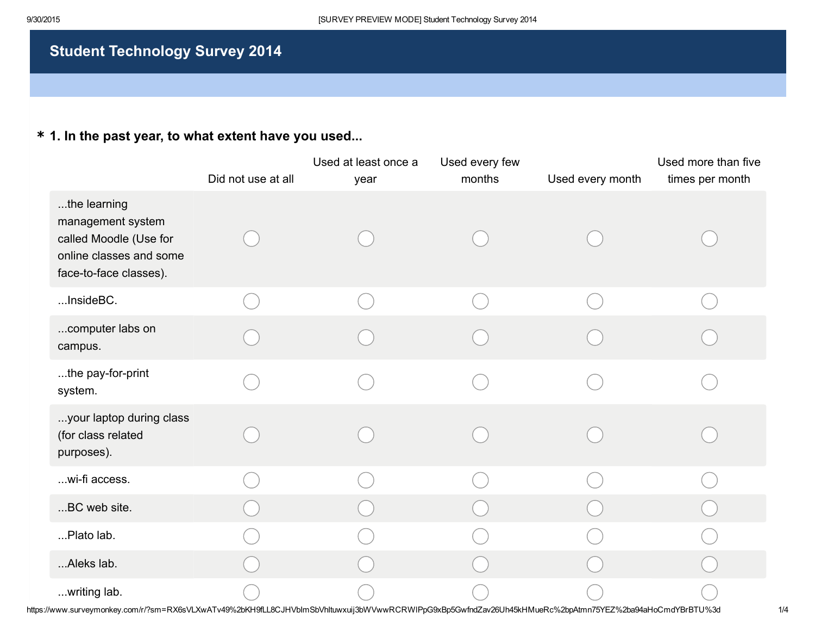# Student Technology Survey 2014

## \* 1. In the past year, to what extent have you used...

|                                                                                                                  | Did not use at all | Used at least once a<br>year | Used every few<br>months | Used every month | Used more than five<br>times per month |
|------------------------------------------------------------------------------------------------------------------|--------------------|------------------------------|--------------------------|------------------|----------------------------------------|
| the learning<br>management system<br>called Moodle (Use for<br>online classes and some<br>face-to-face classes). |                    |                              |                          |                  |                                        |
| InsideBC.                                                                                                        |                    |                              |                          |                  |                                        |
| computer labs on<br>campus.                                                                                      |                    |                              |                          |                  |                                        |
| the pay-for-print<br>system.                                                                                     |                    |                              |                          |                  |                                        |
| your laptop during class<br>(for class related<br>purposes).                                                     |                    |                              |                          |                  |                                        |
| wi-fi access.                                                                                                    |                    |                              |                          |                  |                                        |
| BC web site.                                                                                                     |                    |                              |                          |                  |                                        |
| Plato lab.                                                                                                       |                    |                              |                          |                  |                                        |
| Aleks lab.                                                                                                       |                    |                              |                          |                  |                                        |
| writing lab.                                                                                                     |                    |                              |                          |                  |                                        |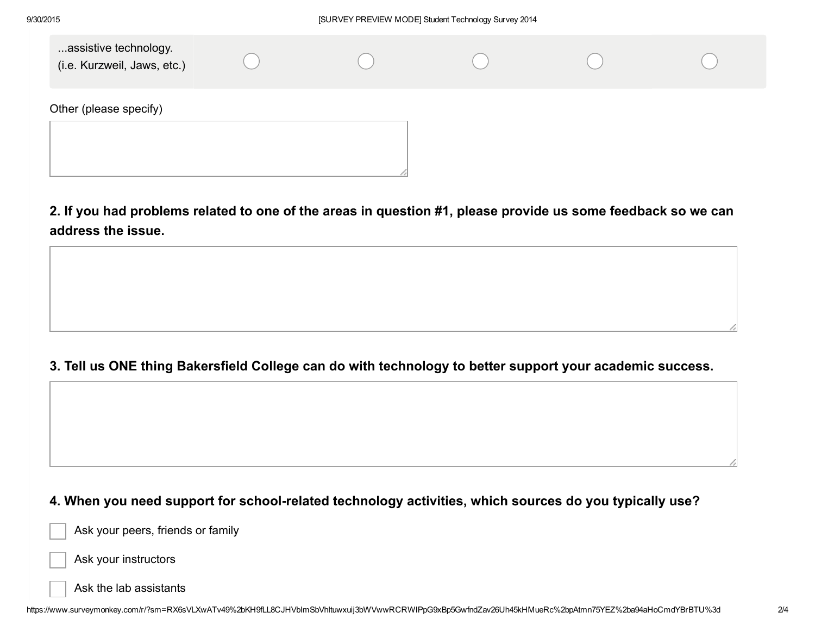| assistive technology.<br>(i.e. Kurzweil, Jaws, etc.) |  |  |  |
|------------------------------------------------------|--|--|--|
| Other (please specify)                               |  |  |  |

2. If you had problems related to one of the areas in question #1, please provide us some feedback so we can address the issue.

### 3. Tell us ONE thing Bakersfield College can do with technology to better support your academic success.

#### 4. When you need support for school-related technology activities, which sources do you typically use?

Ask your peers, friends or family



Ask the lab assistants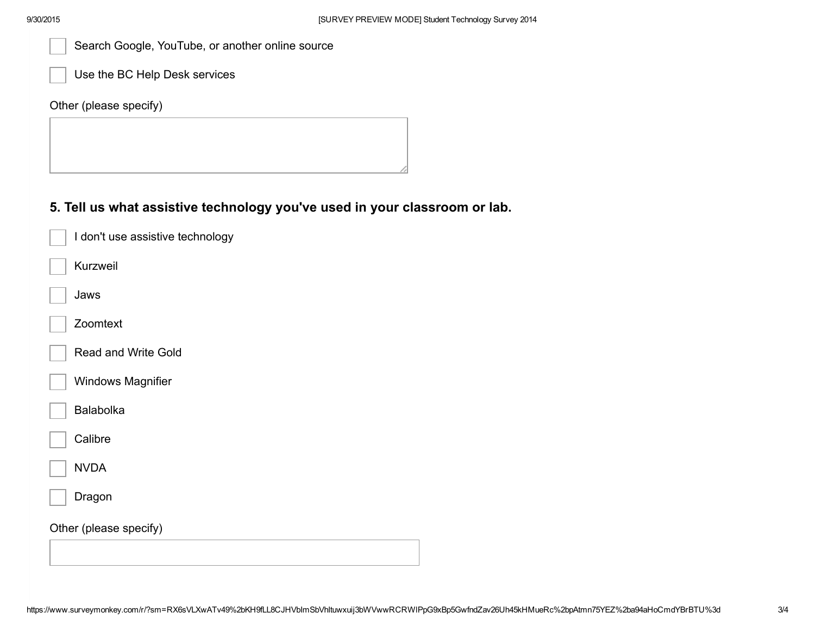|  | Search Google, YouTube, or another online source |  |  |  |
|--|--------------------------------------------------|--|--|--|
|--|--------------------------------------------------|--|--|--|

Use the BC Help Desk services

Other (please specify)

#### 5. Tell us what assistive technology you've used in your classroom or lab.

| I don't use assistive technology |
|----------------------------------|
| Kurzweil                         |
| Jaws                             |
| Zoomtext                         |
| <b>Read and Write Gold</b>       |
| <b>Windows Magnifier</b>         |
| <b>Balabolka</b>                 |
| Calibre                          |
| <b>NVDA</b>                      |
| Dragon                           |
| Other (please specify)           |
|                                  |